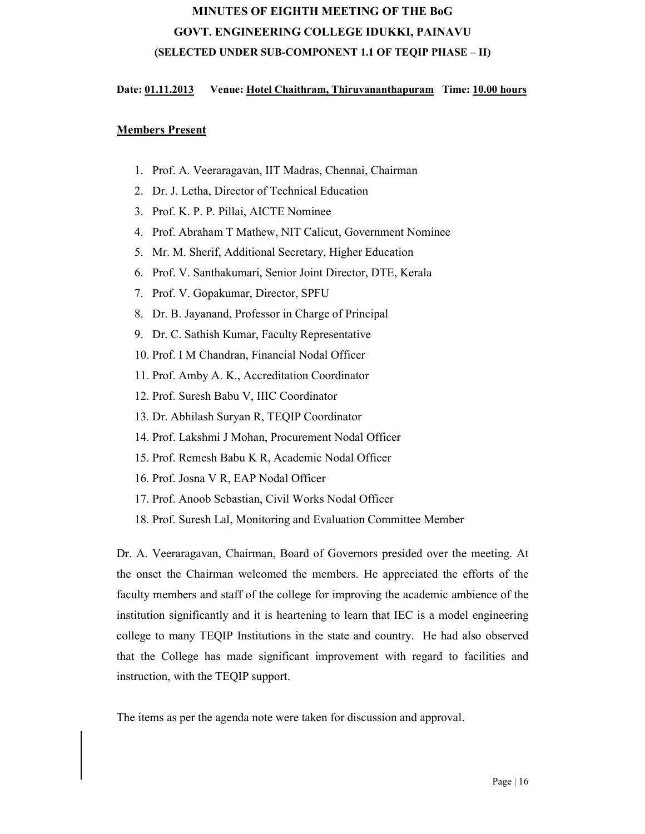# MINUTES OF EIGHTH MEETING OF THE BoG GOVT. ENGINEERING COLLEGE IDUKKI, PAINAVU (SELECTED UNDER SUB-COMPONENT 1.1 OF TEQIP PHASE – II)

# Date: 01.11.2013 Venue: Hotel Chaithram, Thiruvananthapuram Time: 10.00 hours

# Members Present

- 1. Prof. A. Veeraragavan, IIT Madras, Chennai, Chairman
- 2. Dr. J. Letha, Director of Technical Education
- 3. Prof. K. P. P. Pillai, AICTE Nominee
- 4. Prof. Abraham T Mathew, NIT Calicut, Government Nominee
- 5. Mr. M. Sherif, Additional Secretary, Higher Education
- 6. Prof. V. Santhakumari, Senior Joint Director, DTE, Kerala
- 7. Prof. V. Gopakumar, Director, SPFU
- 8. Dr. B. Jayanand, Professor in Charge of Principal
- 9. Dr. C. Sathish Kumar, Faculty Representative
- 10. Prof. I M Chandran, Financial Nodal Officer
- 11. Prof. Amby A. K., Accreditation Coordinator
- 12. Prof. Suresh Babu V, IIIC Coordinator
- 13. Dr. Abhilash Suryan R, TEQIP Coordinator
- 14. Prof. Lakshmi J Mohan, Procurement Nodal Officer
- 15. Prof. Remesh Babu K R, Academic Nodal Officer
- 16. Prof. Josna V R, EAP Nodal Officer
- 17. Prof. Anoob Sebastian, Civil Works Nodal Officer
- 18. Prof. Suresh Lal, Monitoring and Evaluation Committee Member

Dr. A. Veeraragavan, Chairman, Board of Governors presided over the meeting. At the onset the Chairman welcomed the members. He appreciated the efforts of the faculty members and staff of the college for improving the academic ambience of the institution significantly and it is heartening to learn that IEC is a model engineering college to many TEQIP Institutions in the state and country. He had also observed that the College has made significant improvement with regard to facilities and instruction, with the TEQIP support.

The items as per the agenda note were taken for discussion and approval.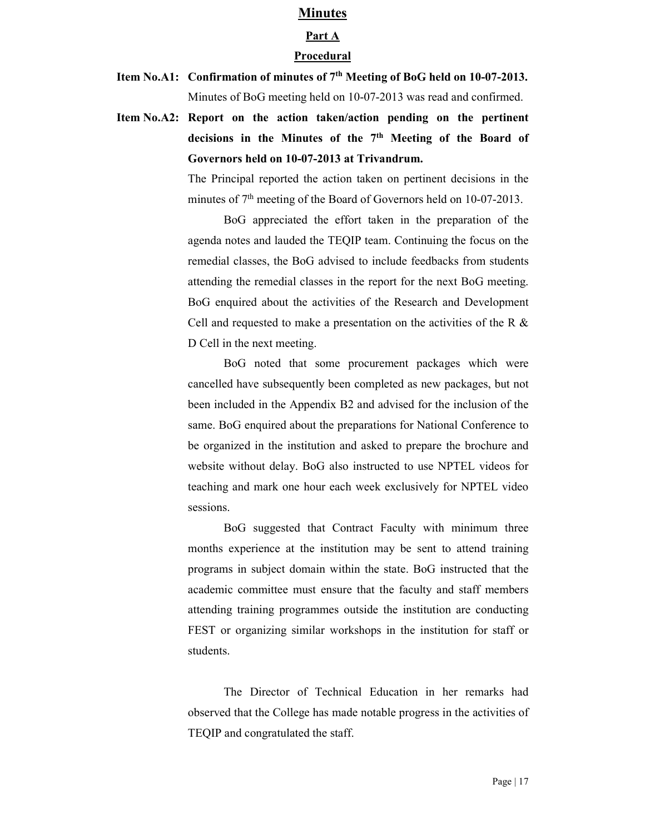### Minutes

# Part A

#### Procedural

- Item No.A1: Confirmation of minutes of 7<sup>th</sup> Meeting of BoG held on 10-07-2013. Minutes of BoG meeting held on 10-07-2013 was read and confirmed.
- Item No.A2: Report on the action taken/action pending on the pertinent decisions in the Minutes of the 7th Meeting of the Board of Governors held on 10-07-2013 at Trivandrum.

The Principal reported the action taken on pertinent decisions in the minutes of 7<sup>th</sup> meeting of the Board of Governors held on 10-07-2013.

BoG appreciated the effort taken in the preparation of the agenda notes and lauded the TEQIP team. Continuing the focus on the remedial classes, the BoG advised to include feedbacks from students attending the remedial classes in the report for the next BoG meeting. BoG enquired about the activities of the Research and Development Cell and requested to make a presentation on the activities of the R & D Cell in the next meeting.

BoG noted that some procurement packages which were cancelled have subsequently been completed as new packages, but not been included in the Appendix B2 and advised for the inclusion of the same. BoG enquired about the preparations for National Conference to be organized in the institution and asked to prepare the brochure and website without delay. BoG also instructed to use NPTEL videos for teaching and mark one hour each week exclusively for NPTEL video sessions.

BoG suggested that Contract Faculty with minimum three months experience at the institution may be sent to attend training programs in subject domain within the state. BoG instructed that the academic committee must ensure that the faculty and staff members attending training programmes outside the institution are conducting FEST or organizing similar workshops in the institution for staff or students.

The Director of Technical Education in her remarks had observed that the College has made notable progress in the activities of TEQIP and congratulated the staff.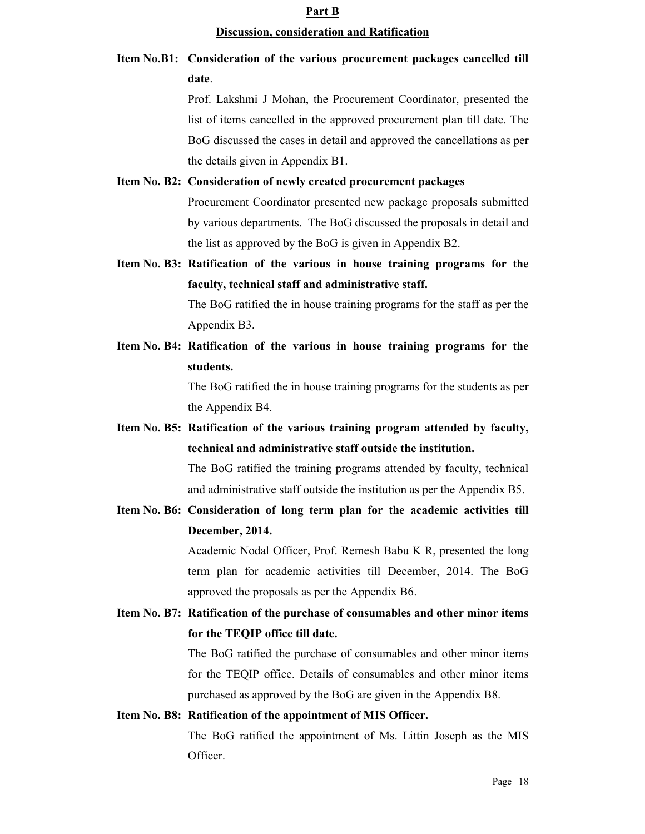#### Part B

#### Discussion, consideration and Ratification

# Item No.B1: Consideration of the various procurement packages cancelled till date.

Prof. Lakshmi J Mohan, the Procurement Coordinator, presented the list of items cancelled in the approved procurement plan till date. The BoG discussed the cases in detail and approved the cancellations as per the details given in Appendix B1.

# Item No. B2: Consideration of newly created procurement packages Procurement Coordinator presented new package proposals submitted by various departments. The BoG discussed the proposals in detail and the list as approved by the BoG is given in Appendix B2.

- Item No. B3: Ratification of the various in house training programs for the faculty, technical staff and administrative staff. The BoG ratified the in house training programs for the staff as per the Appendix B3.
- Item No. B4: Ratification of the various in house training programs for the students.

The BoG ratified the in house training programs for the students as per the Appendix B4.

Item No. B5: Ratification of the various training program attended by faculty, technical and administrative staff outside the institution.

> The BoG ratified the training programs attended by faculty, technical and administrative staff outside the institution as per the Appendix B5.

Item No. B6: Consideration of long term plan for the academic activities till December, 2014.

> Academic Nodal Officer, Prof. Remesh Babu K R, presented the long term plan for academic activities till December, 2014. The BoG approved the proposals as per the Appendix B6.

Item No. B7: Ratification of the purchase of consumables and other minor items for the TEQIP office till date.

> The BoG ratified the purchase of consumables and other minor items for the TEQIP office. Details of consumables and other minor items purchased as approved by the BoG are given in the Appendix B8.

# Item No. B8: Ratification of the appointment of MIS Officer.

The BoG ratified the appointment of Ms. Littin Joseph as the MIS Officer.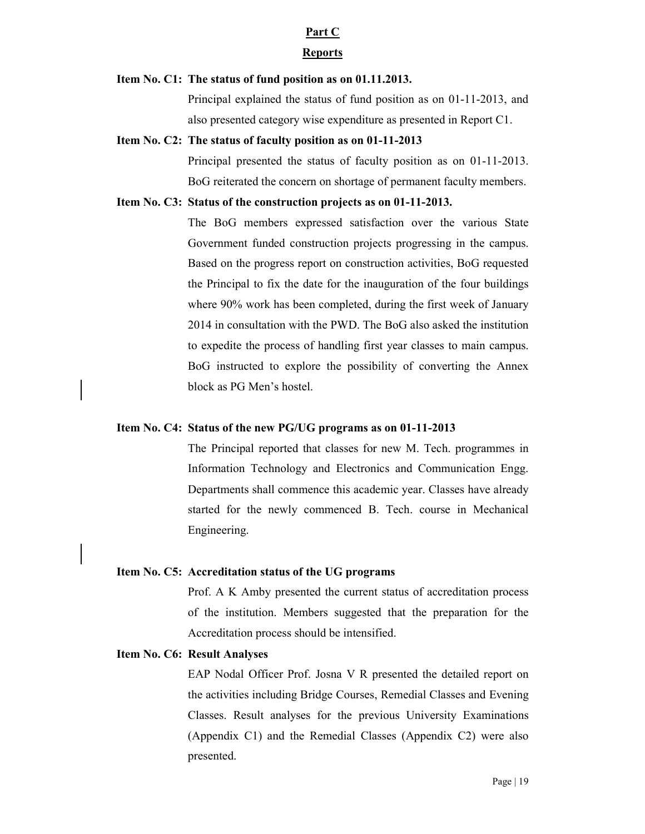### Part C

#### Reports

### Item No. C1: The status of fund position as on 01.11.2013.

Principal explained the status of fund position as on 01-11-2013, and also presented category wise expenditure as presented in Report C1.

#### Item No. C2: The status of faculty position as on 01-11-2013

Principal presented the status of faculty position as on 01-11-2013. BoG reiterated the concern on shortage of permanent faculty members.

### Item No. C3: Status of the construction projects as on 01-11-2013.

The BoG members expressed satisfaction over the various State Government funded construction projects progressing in the campus. Based on the progress report on construction activities, BoG requested the Principal to fix the date for the inauguration of the four buildings where 90% work has been completed, during the first week of January 2014 in consultation with the PWD. The BoG also asked the institution to expedite the process of handling first year classes to main campus. BoG instructed to explore the possibility of converting the Annex block as PG Men's hostel.

## Item No. C4: Status of the new PG/UG programs as on 01-11-2013

The Principal reported that classes for new M. Tech. programmes in Information Technology and Electronics and Communication Engg. Departments shall commence this academic year. Classes have already started for the newly commenced B. Tech. course in Mechanical Engineering.

### Item No. C5: Accreditation status of the UG programs

Prof. A K Amby presented the current status of accreditation process of the institution. Members suggested that the preparation for the Accreditation process should be intensified.

# Item No. C6: Result Analyses

EAP Nodal Officer Prof. Josna V R presented the detailed report on the activities including Bridge Courses, Remedial Classes and Evening Classes. Result analyses for the previous University Examinations (Appendix C1) and the Remedial Classes (Appendix C2) were also presented.